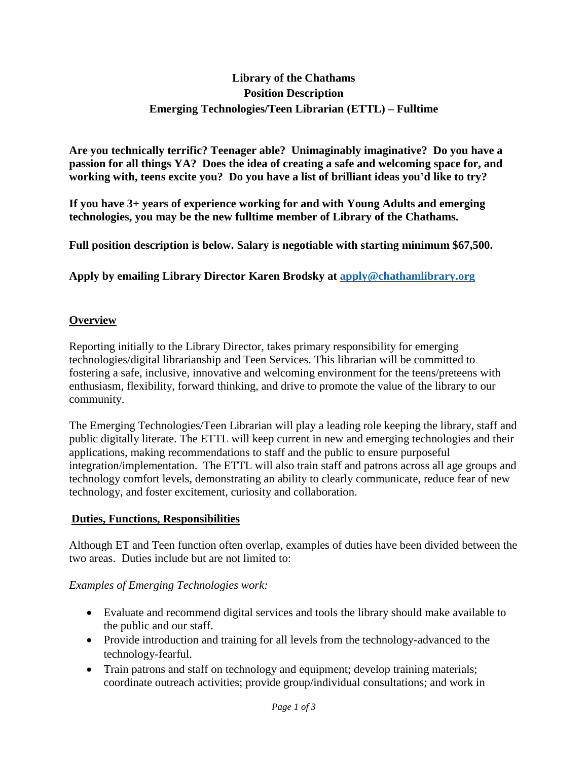# **Library of the Chathams Position Description Emerging Technologies/Teen Librarian (ETTL) – Fulltime**

**Are you technically terrific? Teenager able? Unimaginably imaginative? Do you have a passion for all things YA? Does the idea of creating a safe and welcoming space for, and working with, teens excite you? Do you have a list of brilliant ideas you'd like to try?**

**If you have 3+ years of experience working for and with Young Adults and emerging technologies, you may be the new fulltime member of Library of the Chathams.**

**Full position description is below. Salary is negotiable with starting minimum \$67,500.**

**Apply by emailing Library Director Karen Brodsky at [apply@chathamlibrary.org](mailto:apply@chathamlibrary.org)**

#### **Overview**

Reporting initially to the Library Director, takes primary responsibility for emerging technologies/digital librarianship and Teen Services. This librarian will be committed to fostering a safe, inclusive, innovative and welcoming environment for the teens/preteens with enthusiasm, flexibility, forward thinking, and drive to promote the value of the library to our community.

The Emerging Technologies/Teen Librarian will play a leading role keeping the library, staff and public digitally literate. The ETTL will keep current in new and emerging technologies and their applications, making recommendations to staff and the public to ensure purposeful integration/implementation. The ETTL will also train staff and patrons across all age groups and technology comfort levels, demonstrating an ability to clearly communicate, reduce fear of new technology, and foster excitement, curiosity and collaboration.

#### **Duties, Functions, Responsibilities**

Although ET and Teen function often overlap, examples of duties have been divided between the two areas. Duties include but are not limited to:

#### *Examples of Emerging Technologies work:*

- Evaluate and recommend digital services and tools the library should make available to the public and our staff.
- Provide introduction and training for all levels from the technology-advanced to the technology-fearful.
- Train patrons and staff on technology and equipment; develop training materials; coordinate outreach activities; provide group/individual consultations; and work in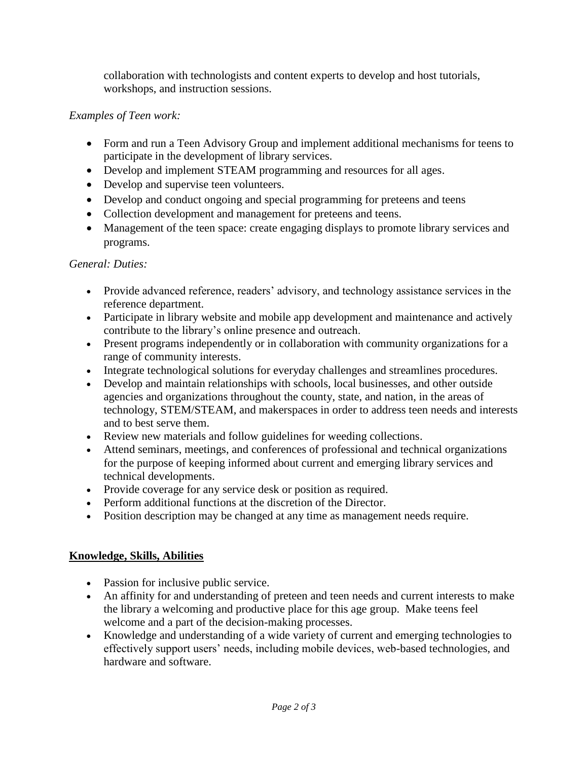collaboration with technologists and content experts to develop and host tutorials, workshops, and instruction sessions.

# *Examples of Teen work:*

- Form and run a Teen Advisory Group and implement additional mechanisms for teens to participate in the development of library services.
- Develop and implement STEAM programming and resources for all ages.
- Develop and supervise teen volunteers.
- Develop and conduct ongoing and special programming for preteens and teens
- Collection development and management for preteens and teens.
- Management of the teen space: create engaging displays to promote library services and programs.

### *General: Duties:*

- Provide advanced reference, readers' advisory, and technology assistance services in the reference department.
- Participate in library website and mobile app development and maintenance and actively contribute to the library's online presence and outreach.
- Present programs independently or in collaboration with community organizations for a range of community interests.
- Integrate technological solutions for everyday challenges and streamlines procedures.
- Develop and maintain relationships with schools, local businesses, and other outside agencies and organizations throughout the county, state, and nation, in the areas of technology, STEM/STEAM, and makerspaces in order to address teen needs and interests and to best serve them.
- Review new materials and follow guidelines for weeding collections.
- Attend seminars, meetings, and conferences of professional and technical organizations for the purpose of keeping informed about current and emerging library services and technical developments.
- Provide coverage for any service desk or position as required.
- Perform additional functions at the discretion of the Director.
- Position description may be changed at any time as management needs require.

# **Knowledge, Skills, Abilities**

- Passion for inclusive public service.
- An affinity for and understanding of preteen and teen needs and current interests to make the library a welcoming and productive place for this age group. Make teens feel welcome and a part of the decision-making processes.
- Knowledge and understanding of a wide variety of current and emerging technologies to effectively support users' needs, including mobile devices, web-based technologies, and hardware and software.